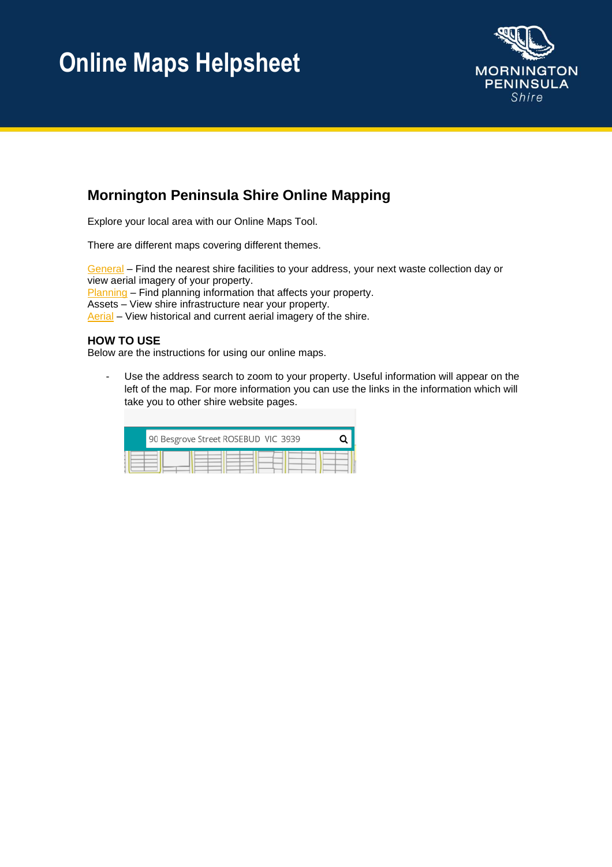

#### **Mornington Peninsula Shire Online Mapping**

Explore your local area with our Online Maps Tool.

There are different maps covering different themes.

[General](https://maps.mornpen.vic.gov.au/IntraMaps97/ApplicationEngine/frontend/mapbuilder/default.htm?configId=00000000-0000-0000-0000-000000000000&liteConfigId=19e998ec-dcbf-4668-b104-57a18a84859c&title=TW9ybmluZ3RvbiBQZW5pbnN1bGEgU2hpcmU=) – Find the nearest shire facilities to your address, your next waste collection day or view aerial imagery of your property. [Planning](https://maps.mornpen.vic.gov.au/IntraMaps97/ApplicationEngine/frontend/mapbuilder/default.htm?configId=00000000-0000-0000-0000-000000000000&liteConfigId=93606d99-ccec-430a-839e-788b87dd49bf&title=TW9ybmluZ3RvbiBQZW5pbnN1bGEgUGxhbm5pbmc=) – Find planning information that affects your property. Assets – View shire infrastructure near your property.

[Aerial](https://maps.mornpen.vic.gov.au/IntraMaps97/ApplicationEngine/frontend/mapbuilder/default.htm?configId=00000000-0000-0000-0000-000000000000&liteConfigId=5ea2747f-8652-40a4-b8a2-04fb5062926e&title=QWVyaWFsIFBob3Rvcw==) – View historical and current aerial imagery of the shire.

#### **HOW TO USE**

Below are the instructions for using our online maps.

- Use the address search to zoom to your property. Useful information will appear on the left of the map. For more information you can use the links in the information which will take you to other shire website pages.

| 90 Besgrove Street ROSEBUD VIC 3939 |  |
|-------------------------------------|--|
|                                     |  |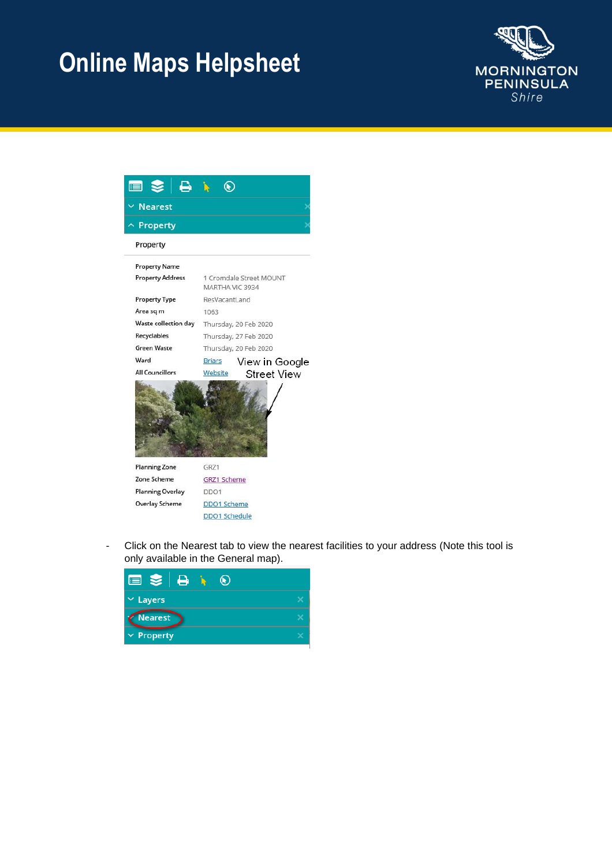



Click on the Nearest tab to view the nearest facilities to your address (Note this tool is only available in the General map).

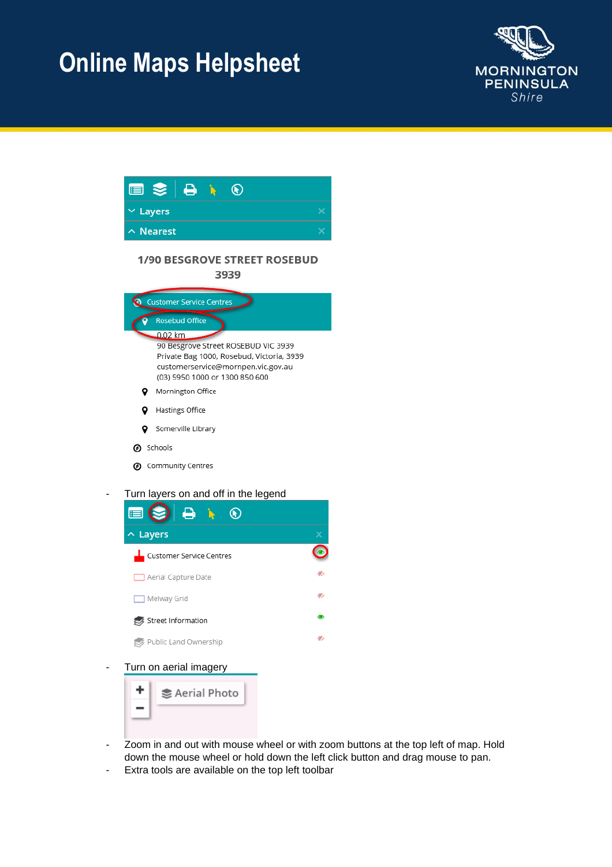





Turn on aerial imagery



- Zoom in and out with mouse wheel or with zoom buttons at the top left of map. Hold down the mouse wheel or hold down the left click button and drag mouse to pan.
- Extra tools are available on the top left toolbar